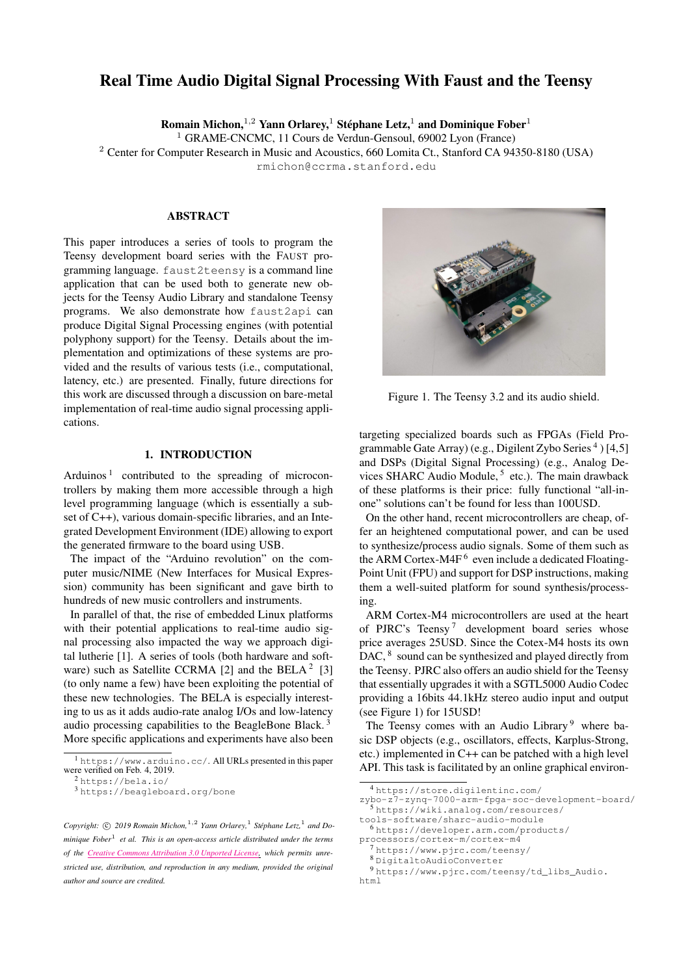# Real Time Audio Digital Signal Processing With Faust and the Teensy

Romain Michon,  $1,2$  Yann Orlarey,  $1$  Stéphane Letz,  $1$  and Dominique Fober  $1$ 

<sup>1</sup> GRAME-CNCMC, 11 Cours de Verdun-Gensoul, 69002 Lyon (France)

<sup>2</sup> Center for Computer Research in Music and Acoustics, 660 Lomita Ct., Stanford CA 94350-8180 (USA)

[rmichon@ccrma.stanford.edu](mailto:rmichon@ccrma.stanford.edu)

#### ABSTRACT

This paper introduces a series of tools to program the Teensy development board series with the FAUST programming language. faust2teensy is a command line application that can be used both to generate new objects for the Teensy Audio Library and standalone Teensy programs. We also demonstrate how faust2api can produce Digital Signal Processing engines (with potential polyphony support) for the Teensy. Details about the implementation and optimizations of these systems are provided and the results of various tests (i.e., computational, latency, etc.) are presented. Finally, future directions for this work are discussed through a discussion on bare-metal implementation of real-time audio signal processing applications.

#### 1. INTRODUCTION

Arduinos<sup>[1](#page-0-0)</sup> contributed to the spreading of microcontrollers by making them more accessible through a high level programming language (which is essentially a subset of C++), various domain-specific libraries, and an Integrated Development Environment (IDE) allowing to export the generated firmware to the board using USB.

The impact of the "Arduino revolution" on the computer music/NIME (New Interfaces for Musical Expression) community has been significant and gave birth to hundreds of new music controllers and instruments.

In parallel of that, the rise of embedded Linux platforms with their potential applications to real-time audio signal processing also impacted the way we approach digital lutherie [\[1\]](#page-5-0). A series of tools (both hardware and soft-ware) such as Satellite CCRMA [\[2\]](#page-5-1) and the BELA<sup>[2](#page-0-1)</sup> [\[3\]](#page-5-2) (to only name a few) have been exploiting the potential of these new technologies. The BELA is especially interesting to us as it adds audio-rate analog I/Os and low-latency audio processing capabilities to the BeagleBone Black. [3](#page-0-2) More specific applications and experiments have also been

<span id="page-0-2"></span><sup>3</sup> <https://beagleboard.org/bone>

Copyright:  $\odot$  2019 Romain Michon,<sup>1,2</sup> Yann Orlarey,<sup>1</sup> Stéphane Letz,<sup>1</sup> and Do*minique Fober*<sup>1</sup> *et al. This is an open-access article distributed under the terms of the Creative Commons [Attribution](http://creativecommons.org/licenses/by/3.0/) 3.0 Unported License, which permits unrestricted use, distribution, and reproduction in any medium, provided the original author and source are credited.*

<span id="page-0-8"></span>

Figure 1. The Teensy 3.2 and its audio shield.

targeting specialized boards such as FPGAs (Field Pro-grammable Gate Array) (e.g., Digilent Zybo Series<sup>[4](#page-0-3)</sup>) [\[4](#page-5-3)[,5\]](#page-5-4) and DSPs (Digital Signal Processing) (e.g., Analog De-vices SHARC Audio Module, <sup>[5](#page-0-4)</sup> etc.). The main drawback of these platforms is their price: fully functional "all-inone" solutions can't be found for less than 100USD.

On the other hand, recent microcontrollers are cheap, offer an heightened computational power, and can be used to synthesize/process audio signals. Some of them such as the ARM Cortex-M4F<sup>[6](#page-0-5)</sup> even include a dedicated Floating-Point Unit (FPU) and support for DSP instructions, making them a well-suited platform for sound synthesis/processing.

ARM Cortex-M4 microcontrollers are used at the heart of PJRC's Teensy<sup>[7](#page-0-6)</sup> development board series whose price averages 25USD. Since the Cotex-M4 hosts its own DAC, <sup>[8](#page-0-7)</sup> sound can be synthesized and played directly from the Teensy. PJRC also offers an audio shield for the Teensy that essentially upgrades it with a SGTL5000 Audio Codec providing a 16bits 44.1kHz stereo audio input and output (see Figure [1\)](#page-0-8) for 15USD!

The Teensy comes with an Audio Library<sup>[9](#page-0-9)</sup> where basic DSP objects (e.g., oscillators, effects, Karplus-Strong, etc.) implemented in C++ can be patched with a high level API. This task is facilitated by an online graphical environ-

<span id="page-0-0"></span><sup>&</sup>lt;sup>1</sup> <https://www.arduino.cc/>. All URLs presented in this paper were verified on Feb. 4, 2019.

<span id="page-0-1"></span><sup>2</sup> <https://bela.io/>

<span id="page-0-3"></span><sup>4</sup> [https://store.digilentinc.com/](https://store.digilentinc.com/zybo-z7-zynq-7000-arm-fpga-soc-development-board/) [zybo-z7-zynq-7000-arm-fpga-soc-development-board/](https://store.digilentinc.com/zybo-z7-zynq-7000-arm-fpga-soc-development-board/) <sup>5</sup> [https://wiki.analog.com/resources/](https://wiki.analog.com/resources/tools-software/sharc-audio-module)

<span id="page-0-4"></span>[tools-software/sharc-audio-module](https://wiki.analog.com/resources/tools-software/sharc-audio-module)

<span id="page-0-5"></span><sup>6</sup> [https://developer.arm.com/products/](https://developer.arm.com/products/processors/cortex-m/cortex-m4) [processors/cortex-m/cortex-m4](https://developer.arm.com/products/processors/cortex-m/cortex-m4)

<span id="page-0-6"></span><sup>7</sup> <https://www.pjrc.com/teensy/>

<span id="page-0-9"></span><span id="page-0-7"></span><sup>8</sup> [DigitaltoAudioConverter](Digital to Audio Converter)

<sup>9</sup> [https://www.pjrc.com/teensy/td\\_libs\\_Audio.](https://www.pjrc.com/teensy/td_libs_Audio.html) [html](https://www.pjrc.com/teensy/td_libs_Audio.html)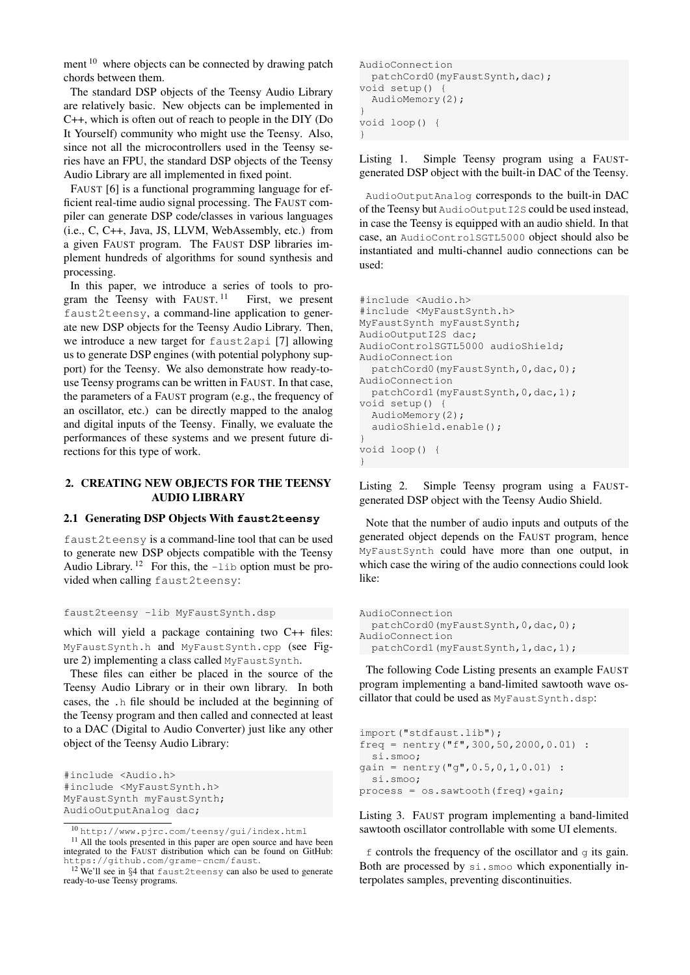ment  $10$  where objects can be connected by drawing patch chords between them.

The standard DSP objects of the Teensy Audio Library are relatively basic. New objects can be implemented in C++, which is often out of reach to people in the DIY (Do It Yourself) community who might use the Teensy. Also, since not all the microcontrollers used in the Teensy series have an FPU, the standard DSP objects of the Teensy Audio Library are all implemented in fixed point.

FAUST [\[6\]](#page-5-5) is a functional programming language for efficient real-time audio signal processing. The FAUST compiler can generate DSP code/classes in various languages (i.e., C, C++, Java, JS, LLVM, WebAssembly, etc.) from a given FAUST program. The FAUST DSP libraries implement hundreds of algorithms for sound synthesis and processing.

In this paper, we introduce a series of tools to program the Teensy with FAUST.<sup>11</sup> First, we present faust2teensy, a command-line application to generate new DSP objects for the Teensy Audio Library. Then, we introduce a new target for faust2api [\[7\]](#page-5-6) allowing us to generate DSP engines (with potential polyphony support) for the Teensy. We also demonstrate how ready-touse Teensy programs can be written in FAUST. In that case, the parameters of a FAUST program (e.g., the frequency of an oscillator, etc.) can be directly mapped to the analog and digital inputs of the Teensy. Finally, we evaluate the performances of these systems and we present future directions for this type of work.

## <span id="page-1-5"></span>2. CREATING NEW OBJECTS FOR THE TEENSY AUDIO LIBRARY

## 2.1 Generating DSP Objects With **faust2teensy**

faust2teensy is a command-line tool that can be used to generate new DSP objects compatible with the Teensy Audio Library.  $12$  For this, the  $-1$  ib option must be provided when calling faust2teensy:

## faust2teensy -lib MyFaustSynth.dsp

which will yield a package containing two C++ files: MyFaustSynth.h and MyFaustSynth.cpp (see Figure [2\)](#page-2-0) implementing a class called MyFaustSynth.

These files can either be placed in the source of the Teensy Audio Library or in their own library. In both cases, the .h file should be included at the beginning of the Teensy program and then called and connected at least to a DAC (Digital to Audio Converter) just like any other object of the Teensy Audio Library:

```
#include <Audio.h>
#include <MyFaustSynth.h>
MyFaustSynth myFaustSynth;
AudioOutputAnalog dac;
```

```
AudioConnection
 patchCord0(myFaustSynth,dac);
void setup() {
 AudioMemory(2);
}
void loop() {
}
```
Listing 1. Simple Teensy program using a FAUSTgenerated DSP object with the built-in DAC of the Teensy.

AudioOutputAnalog corresponds to the built-in DAC of the Teensy but AudioOutputI2S could be used instead, in case the Teensy is equipped with an audio shield. In that case, an AudioControlSGTL5000 object should also be instantiated and multi-channel audio connections can be used:

```
#include <Audio.h>
#include <MyFaustSynth.h>
MyFaustSynth myFaustSynth;
AudioOutputI2S dac;
AudioControlSGTL5000 audioShield;
AudioConnection
  patchCord0(myFaustSynth,0,dac,0);
AudioConnection
 patchCord1(myFaustSynth,0,dac,1);
void setup() {
  AudioMemory(2);
  audioShield.enable();
}
void loop() {
}
```
Listing 2. Simple Teensy program using a FAUSTgenerated DSP object with the Teensy Audio Shield.

Note that the number of audio inputs and outputs of the generated object depends on the FAUST program, hence MyFaustSynth could have more than one output, in which case the wiring of the audio connections could look like:

```
AudioConnection
 patchCord0(myFaustSynth,0,dac,0);
AudioConnection
patchCord1(myFaustSynth, 1, dac, 1);
```
The following Code Listing presents an example FAUST program implementing a band-limited sawtooth wave oscillator that could be used as MyFaustSynth.dsp:

```
import("stdfaust.lib");
freq = nentry ("f", 300, 50, 2000, 0.01) :
 si.smoo;
qain = nentry("q", 0.5, 0, 1, 0.01):
 si.smoo;
process = os.sawtooth(freq) *gain;
```
Listing 3. FAUST program implementing a band-limited sawtooth oscillator controllable with some UI elements.

 $f$  controls the frequency of the oscillator and  $g$  its gain. Both are processed by si.smoo which exponentially interpolates samples, preventing discontinuities.

<span id="page-1-0"></span><sup>10</sup> <http://www.pjrc.com/teensy/gui/index.html>

<span id="page-1-1"></span><sup>&</sup>lt;sup>11</sup> All the tools presented in this paper are open source and have been integrated to the FAUST distribution which can be found on GitHub: <https://github.com/grame-cncm/faust>.

<span id="page-1-2"></span><sup>12</sup> We'll see in §[4](#page-3-0) that faust2teensy can also be used to generate ready-to-use Teensy programs.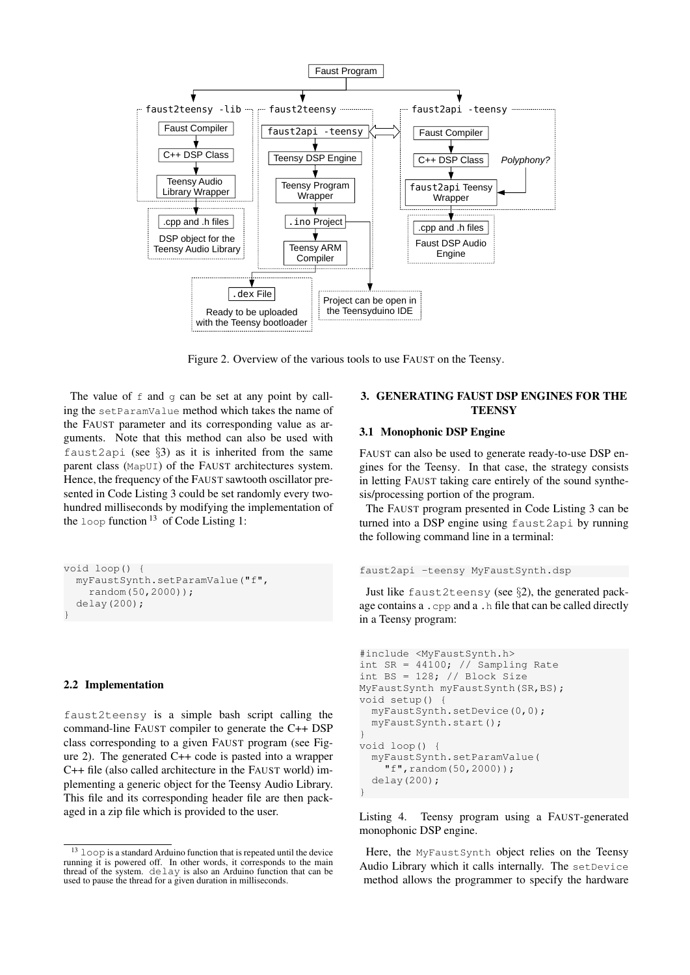

<span id="page-2-0"></span>Figure 2. Overview of the various tools to use FAUST on the Teensy.

The value of  $f$  and  $g$  can be set at any point by calling the setParamValue method which takes the name of the FAUST parameter and its corresponding value as arguments. Note that this method can also be used with faust2api (see  $\S3$ ) as it is inherited from the same parent class (MapUI) of the FAUST architectures system. Hence, the frequency of the FAUST sawtooth oscillator presented in Code Listing [3](#page-1-3) could be set randomly every twohundred milliseconds by modifying the implementation of the  $loop$  function  $13$  of Code Listing [1:](#page-1-4)

```
void loop() {
  myFaustSynth.setParamValue("f",
    random(50,2000));
  delay(200);
}
```
#### 2.2 Implementation

faust2teensy is a simple bash script calling the command-line FAUST compiler to generate the C++ DSP class corresponding to a given FAUST program (see Figure [2\)](#page-2-0). The generated C++ code is pasted into a wrapper C++ file (also called architecture in the FAUST world) implementing a generic object for the Teensy Audio Library. This file and its corresponding header file are then packaged in a zip file which is provided to the user.

## <span id="page-2-1"></span>3. GENERATING FAUST DSP ENGINES FOR THE **TEENSY**

## 3.1 Monophonic DSP Engine

FAUST can also be used to generate ready-to-use DSP engines for the Teensy. In that case, the strategy consists in letting FAUST taking care entirely of the sound synthesis/processing portion of the program.

The FAUST program presented in Code Listing [3](#page-1-3) can be turned into a DSP engine using faust2api by running the following command line in a terminal:

```
faust2api -teensy MyFaustSynth.dsp
```
Just like faust2teensy (see §[2\)](#page-1-5), the generated package contains a .cpp and a .h file that can be called directly in a Teensy program:

```
#include <MyFaustSynth.h>
int SR = 44100; // Sampling Rate
int BS = 128; // Block Size
MyFaustSynth myFaustSynth(SR,BS);
void setup() {
  myFaustSynth.setDevice(0,0);
 myFaustSynth.start();
}
void loop() {
 myFaustSynth.setParamValue(
    "f", random(50, 2000));
  delay(200);
}
```
Listing 4. Teensy program using a FAUST-generated monophonic DSP engine.

Here, the MyFaustSynth object relies on the Teensy Audio Library which it calls internally. The setDevice method allows the programmer to specify the hardware

<span id="page-2-2"></span> $^{13}$   $\mathtt{loop}$  is a standard Arduino function that is repeated until the device running it is powered off. In other words, it corresponds to the main thread of the system. delay is also an Arduino function that can be used to pause the thread for a given duration in milliseconds.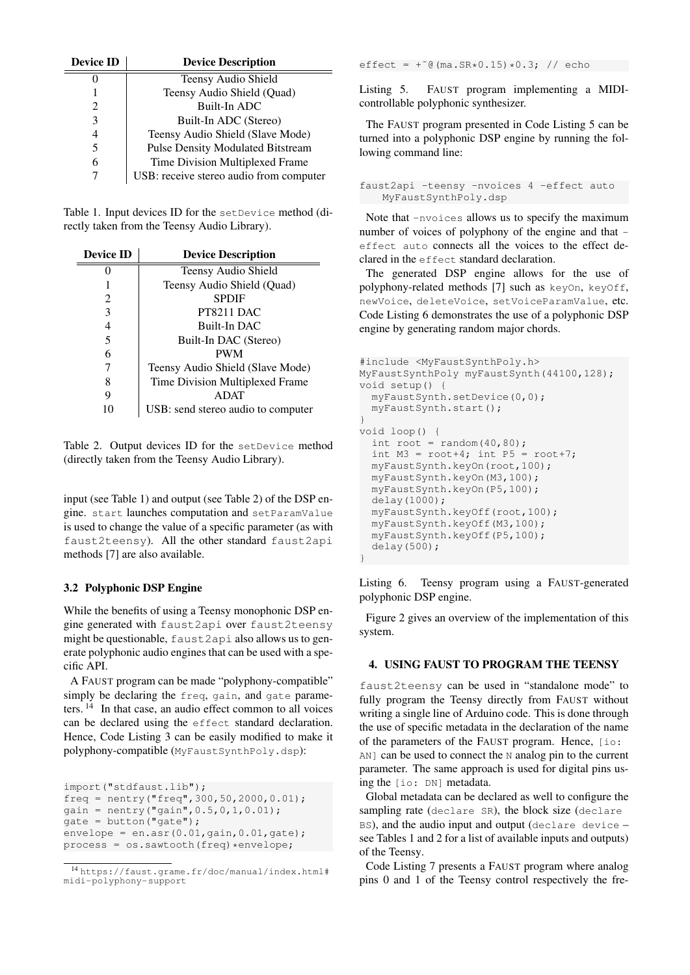<span id="page-3-1"></span>

| <b>Device ID</b> | <b>Device Description</b>                |  |  |
|------------------|------------------------------------------|--|--|
|                  | Teensy Audio Shield                      |  |  |
|                  | Teensy Audio Shield (Quad)               |  |  |
|                  | Built-In ADC                             |  |  |
| 3                | Built-In ADC (Stereo)                    |  |  |
| 4                | Teensy Audio Shield (Slave Mode)         |  |  |
| 5                | <b>Pulse Density Modulated Bitstream</b> |  |  |
|                  | Time Division Multiplexed Frame          |  |  |
|                  | USB: receive stereo audio from computer  |  |  |

Table 1. Input devices ID for the setDevice method (directly taken from the Teensy Audio Library).

<span id="page-3-2"></span>

| <b>Device ID</b> | <b>Device Description</b>          |  |  |
|------------------|------------------------------------|--|--|
|                  | Teensy Audio Shield                |  |  |
|                  | Teensy Audio Shield (Quad)         |  |  |
| 2                | <b>SPDIF</b>                       |  |  |
| 3                | PT8211 DAC                         |  |  |
| 4                | Built-In DAC                       |  |  |
| 5                | Built-In DAC (Stereo)              |  |  |
| 6                | <b>PWM</b>                         |  |  |
| 7                | Teensy Audio Shield (Slave Mode)   |  |  |
| 8                | Time Division Multiplexed Frame    |  |  |
| 9                | <b>ADAT</b>                        |  |  |
| 10               | USB: send stereo audio to computer |  |  |

Table 2. Output devices ID for the setDevice method (directly taken from the Teensy Audio Library).

input (see Table [1\)](#page-3-1) and output (see Table [2\)](#page-3-2) of the DSP engine. start launches computation and setParamValue is used to change the value of a specific parameter (as with faust2teensy). All the other standard faust2api methods [\[7\]](#page-5-6) are also available.

## <span id="page-3-6"></span>3.2 Polyphonic DSP Engine

While the benefits of using a Teensy monophonic DSP engine generated with faust2api over faust2teensy might be questionable, faust2api also allows us to generate polyphonic audio engines that can be used with a specific API.

A FAUST program can be made "polyphony-compatible" simply be declaring the freq, gain, and gate parameters. [14](#page-3-3) In that case, an audio effect common to all voices can be declared using the effect standard declaration. Hence, Code Listing [3](#page-1-3) can be easily modified to make it polyphony-compatible (MyFaustSynthPoly.dsp):

```
import("stdfaust.lib");
freq = nentry("freq",300,50,2000,0.01);
gain = nentry('gain", 0.5, 0, 1, 0.01);gate = button('gate');envelope = en.asr(0.01, gain, 0.01, gate);
process = os.sawtooth(freq) * envelope;
```

```
14 https://faust.grame.fr/doc/manual/index.html#
midi-polyphony-support
```
effect =  $+$   $^{\circ}$  (ma. SR  $*$  0.15)  $*$  0.3; // echo

Listing 5. FAUST program implementing a MIDIcontrollable polyphonic synthesizer.

The FAUST program presented in Code Listing [5](#page-3-4) can be turned into a polyphonic DSP engine by running the following command line:

```
faust2api -teensy -nvoices 4 -effect auto
   MyFaustSynthPoly.dsp
```
Note that -nvoices allows us to specify the maximum number of voices of polyphony of the engine and that effect auto connects all the voices to the effect declared in the effect standard declaration.

The generated DSP engine allows for the use of polyphony-related methods [\[7\]](#page-5-6) such as keyOn, keyOff, newVoice, deleteVoice, setVoiceParamValue, etc. Code Listing [6](#page-3-5) demonstrates the use of a polyphonic DSP engine by generating random major chords.

```
#include <MyFaustSynthPoly.h>
MyFaustSynthPoly myFaustSynth(44100,128);
void setup() {
 myFaustSynth.setDevice(0,0);
 myFaustSynth.start();
}
void loop() {
  int root = random(40,80);
  int M3 = root+4; int P5 = root+7;
 myFaustSynth.keyOn(root,100);
  myFaustSynth.keyOn(M3,100);
  myFaustSynth.keyOn(P5,100);
  delay(1000);
 myFaustSynth.keyOff(root,100);
 myFaustSynth.keyOff(M3,100);
  myFaustSynth.keyOff(P5,100);
  delay(500);
}
```
Listing 6. Teensy program using a FAUST-generated polyphonic DSP engine.

Figure [2](#page-2-0) gives an overview of the implementation of this system.

## <span id="page-3-0"></span>4. USING FAUST TO PROGRAM THE TEENSY

faust2teensy can be used in "standalone mode" to fully program the Teensy directly from FAUST without writing a single line of Arduino code. This is done through the use of specific metadata in the declaration of the name of the parameters of the FAUST program. Hence, [io: AN] can be used to connect the N analog pin to the current parameter. The same approach is used for digital pins using the [io: DN] metadata.

Global metadata can be declared as well to configure the sampling rate (declare SR), the block size (declare BS), and the audio input and output (declare device – see Tables [1](#page-3-1) and [2](#page-3-2) for a list of available inputs and outputs) of the Teensy.

Code Listing [7](#page-4-0) presents a FAUST program where analog pins 0 and 1 of the Teensy control respectively the fre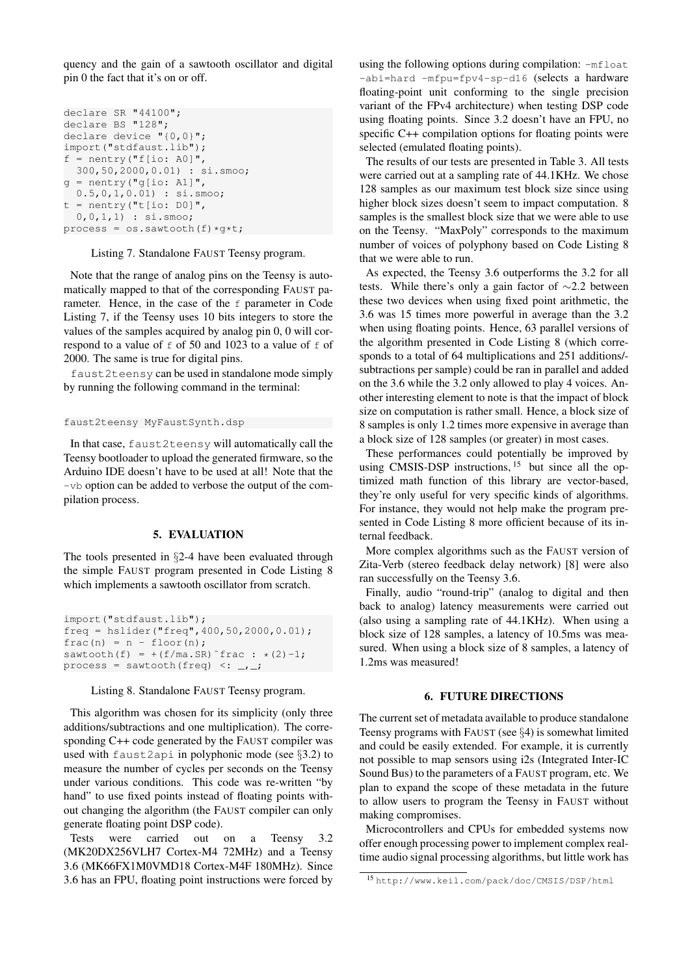quency and the gain of a sawtooth oscillator and digital pin 0 the fact that it's on or off.

```
declare SR "44100";
declare BS "128";
declare device "{0,0}";
import("stdfaust.lib");
f = nentry ("f[io: A0]",
 300,50,2000,0.01) : si.smoo;
q = nentry ("q[io: A1]",
  0.5,0,1,0.01) : si.smoo;
t = nentry ("t[io: D0]",
  0,0,1,1) : si.smoo;
process = os.sawtooth(f)*g*t;
```
Listing 7. Standalone FAUST Teensy program.

Note that the range of analog pins on the Teensy is automatically mapped to that of the corresponding FAUST parameter. Hence, in the case of the f parameter in Code Listing [7,](#page-4-0) if the Teensy uses 10 bits integers to store the values of the samples acquired by analog pin 0, 0 will correspond to a value of  $f$  of 50 and 1023 to a value of  $f$  of 2000. The same is true for digital pins.

faust2teensy can be used in standalone mode simply by running the following command in the terminal:

faust2teensy MyFaustSynth.dsp

In that case, faust2teensy will automatically call the Teensy bootloader to upload the generated firmware, so the Arduino IDE doesn't have to be used at all! Note that the -vb option can be added to verbose the output of the compilation process.

#### 5. EVALUATION

The tools presented in §[2-](#page-1-5)[4](#page-3-0) have been evaluated through the simple FAUST program presented in Code Listing [8](#page-4-1) which implements a sawtooth oscillator from scratch.

```
import("stdfaust.lib");
freq = hslider("freq",400,50,2000,0.01);
frac(n) = n -floor(n);
sawtooth(f) = +(f/ma.SR)^{r}frac : *(2)-1;
process = sawtooth(freq) \leq: \frac{1}{\sqrt{2}}
```
Listing 8. Standalone FAUST Teensy program.

This algorithm was chosen for its simplicity (only three additions/subtractions and one multiplication). The corresponding C++ code generated by the FAUST compiler was used with faust2api in polyphonic mode (see §[3.2\)](#page-3-6) to measure the number of cycles per seconds on the Teensy under various conditions. This code was re-written "by hand" to use fixed points instead of floating points without changing the algorithm (the FAUST compiler can only generate floating point DSP code).

Tests were carried out on a Teensy 3.2 (MK20DX256VLH7 Cortex-M4 72MHz) and a Teensy 3.6 (MK66FX1M0VMD18 Cortex-M4F 180MHz). Since 3.6 has an FPU, floating point instructions were forced by using the following options during compilation:  $-mfloat$ -abi=hard -mfpu=fpv4-sp-d16 (selects a hardware floating-point unit conforming to the single precision variant of the FPv4 architecture) when testing DSP code using floating points. Since 3.2 doesn't have an FPU, no specific C++ compilation options for floating points were selected (emulated floating points).

The results of our tests are presented in Table [3.](#page-5-7) All tests were carried out at a sampling rate of 44.1KHz. We chose 128 samples as our maximum test block size since using higher block sizes doesn't seem to impact computation. 8 samples is the smallest block size that we were able to use on the Teensy. "MaxPoly" corresponds to the maximum number of voices of polyphony based on Code Listing [8](#page-4-1) that we were able to run.

As expected, the Teensy 3.6 outperforms the 3.2 for all tests. While there's only a gain factor of ∼2.2 between these two devices when using fixed point arithmetic, the 3.6 was 15 times more powerful in average than the 3.2 when using floating points. Hence, 63 parallel versions of the algorithm presented in Code Listing [8](#page-4-1) (which corresponds to a total of 64 multiplications and 251 additions/ subtractions per sample) could be ran in parallel and added on the 3.6 while the 3.2 only allowed to play 4 voices. Another interesting element to note is that the impact of block size on computation is rather small. Hence, a block size of 8 samples is only 1.2 times more expensive in average than a block size of 128 samples (or greater) in most cases.

These performances could potentially be improved by using CMSIS-DSP instructions,  $15$  but since all the optimized math function of this library are vector-based, they're only useful for very specific kinds of algorithms. For instance, they would not help make the program presented in Code Listing [8](#page-4-1) more officient because of its internal feedback.

More complex algorithms such as the FAUST version of Zita-Verb (stereo feedback delay network) [\[8\]](#page-6-0) were also ran successfully on the Teensy 3.6.

Finally, audio "round-trip" (analog to digital and then back to analog) latency measurements were carried out (also using a sampling rate of 44.1KHz). When using a block size of 128 samples, a latency of 10.5ms was measured. When using a block size of 8 samples, a latency of 1.2ms was measured!

## 6. FUTURE DIRECTIONS

The current set of metadata available to produce standalone Teensy programs with FAUST (see §[4\)](#page-3-0) is somewhat limited and could be easily extended. For example, it is currently not possible to map sensors using i2s (Integrated Inter-IC Sound Bus) to the parameters of a FAUST program, etc. We plan to expand the scope of these metadata in the future to allow users to program the Teensy in FAUST without making compromises.

Microcontrollers and CPUs for embedded systems now offer enough processing power to implement complex realtime audio signal processing algorithms, but little work has

<span id="page-4-2"></span><sup>15</sup> <http://www.keil.com/pack/doc/CMSIS/DSP/html>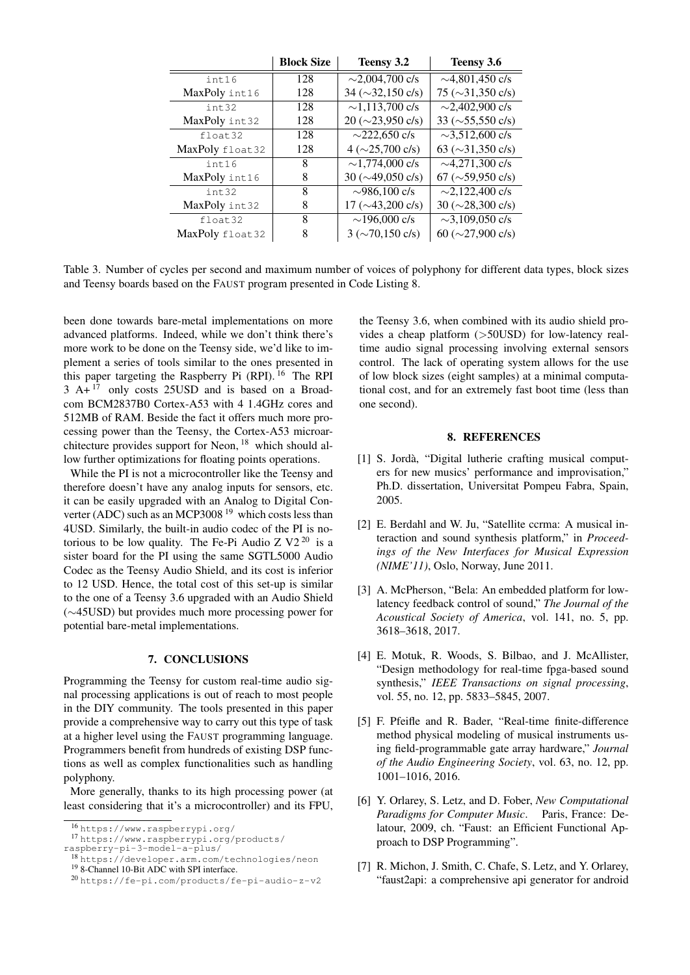|                 | <b>Block Size</b> | Teensy 3.2                                  | Teensy 3.6              |
|-----------------|-------------------|---------------------------------------------|-------------------------|
| int16           | 128               | $\sim$ 2,004,700 c/s                        | $\sim$ 4,801,450 c/s    |
| MaxPoly int16   | 128               | $34 \left( \sim 32,150 \text{ c/s} \right)$ | 75 ( $\sim$ 31,350 c/s) |
| int32           | 128               | $\sim$ 1,113,700 c/s                        | $\sim$ 2,402,900 c/s    |
| MaxPoly int32   | 128               | $20 \left( \sim 23,950 \text{ c/s} \right)$ | 33 ( $\sim$ 55,550 c/s) |
| float.32        | 128               | $\sim$ 222,650 c/s                          | $\sim$ 3,512,600 c/s    |
| MaxPoly float32 | 128               | $4 \left( \sim 25,700 \text{ c/s} \right)$  | 63 ( $\sim$ 31,350 c/s) |
| int16           | 8                 | $\sim$ 1,774,000 c/s                        | $\sim$ 4,271,300 c/s    |
| MaxPoly int16   | 8                 | $30 \left( \sim 49,050 \text{ c/s} \right)$ | 67 ( $\sim$ 59,950 c/s) |
| int.32          | 8                 | $\sim$ 986,100 c/s                          | $\sim$ 2,122,400 c/s    |
| MaxPoly int32   | 8                 | $17 \left( \sim 43,200 \text{ c/s} \right)$ | 30 ( $\sim$ 28,300 c/s) |
| float.32        | 8                 | $\sim$ 196,000 c/s                          | $\sim$ 3,109,050 c/s    |
| MaxPoly float32 | 8                 | $3 \left( \sim 70,150 \text{ c/s} \right)$  | 60 ( $\sim$ 27,900 c/s) |

<span id="page-5-7"></span>Table 3. Number of cycles per second and maximum number of voices of polyphony for different data types, block sizes and Teensy boards based on the FAUST program presented in Code Listing [8.](#page-4-1)

been done towards bare-metal implementations on more advanced platforms. Indeed, while we don't think there's more work to be done on the Teensy side, we'd like to implement a series of tools similar to the ones presented in this paper targeting the Raspberry Pi (RPI). [16](#page-5-8) The RPI  $3$  A+ $17$  only costs 25USD and is based on a Broadcom BCM2837B0 Cortex-A53 with 4 1.4GHz cores and 512MB of RAM. Beside the fact it offers much more processing power than the Teensy, the Cortex-A53 microarchitecture provides support for Neon,  $^{18}$  $^{18}$  $^{18}$  which should allow further optimizations for floating points operations.

While the PI is not a microcontroller like the Teensy and therefore doesn't have any analog inputs for sensors, etc. it can be easily upgraded with an Analog to Digital Converter (ADC) such as an MCP3008 [19](#page-5-11) which costs less than 4USD. Similarly, the built-in audio codec of the PI is notorious to be low quality. The Fe-Pi Audio Z  $V2^{20}$  $V2^{20}$  $V2^{20}$  is a sister board for the PI using the same SGTL5000 Audio Codec as the Teensy Audio Shield, and its cost is inferior to 12 USD. Hence, the total cost of this set-up is similar to the one of a Teensy 3.6 upgraded with an Audio Shield (∼45USD) but provides much more processing power for potential bare-metal implementations.

#### 7. CONCLUSIONS

Programming the Teensy for custom real-time audio signal processing applications is out of reach to most people in the DIY community. The tools presented in this paper provide a comprehensive way to carry out this type of task at a higher level using the FAUST programming language. Programmers benefit from hundreds of existing DSP functions as well as complex functionalities such as handling polyphony.

More generally, thanks to its high processing power (at least considering that it's a microcontroller) and its FPU, the Teensy 3.6, when combined with its audio shield provides a cheap platform (>50USD) for low-latency realtime audio signal processing involving external sensors control. The lack of operating system allows for the use of low block sizes (eight samples) at a minimal computational cost, and for an extremely fast boot time (less than one second).

#### 8. REFERENCES

- <span id="page-5-0"></span>[1] S. Jordà, "Digital lutherie crafting musical computers for new musics' performance and improvisation," Ph.D. dissertation, Universitat Pompeu Fabra, Spain, 2005.
- <span id="page-5-1"></span>[2] E. Berdahl and W. Ju, "Satellite ccrma: A musical interaction and sound synthesis platform," in *Proceedings of the New Interfaces for Musical Expression (NIME'11)*, Oslo, Norway, June 2011.
- <span id="page-5-2"></span>[3] A. McPherson, "Bela: An embedded platform for lowlatency feedback control of sound," *The Journal of the Acoustical Society of America*, vol. 141, no. 5, pp. 3618–3618, 2017.
- <span id="page-5-3"></span>[4] E. Motuk, R. Woods, S. Bilbao, and J. McAllister, "Design methodology for real-time fpga-based sound synthesis," *IEEE Transactions on signal processing*, vol. 55, no. 12, pp. 5833–5845, 2007.
- <span id="page-5-4"></span>[5] F. Pfeifle and R. Bader, "Real-time finite-difference method physical modeling of musical instruments using field-programmable gate array hardware," *Journal of the Audio Engineering Society*, vol. 63, no. 12, pp. 1001–1016, 2016.
- <span id="page-5-5"></span>[6] Y. Orlarey, S. Letz, and D. Fober, *New Computational Paradigms for Computer Music*. Paris, France: Delatour, 2009, ch. "Faust: an Efficient Functional Approach to DSP Programming".
- <span id="page-5-6"></span>[7] R. Michon, J. Smith, C. Chafe, S. Letz, and Y. Orlarey, "faust2api: a comprehensive api generator for android

<span id="page-5-9"></span><span id="page-5-8"></span><sup>16</sup> <https://www.raspberrypi.org/>

<sup>17</sup> [https://www.raspberrypi.org/products/](https://www.raspberrypi.org/products/raspberry-pi-3-model-a-plus/) [raspberry-pi-3-model-a-plus/](https://www.raspberrypi.org/products/raspberry-pi-3-model-a-plus/)

<span id="page-5-10"></span><sup>18</sup> <https://developer.arm.com/technologies/neon> <sup>19</sup> 8-Channel 10-Bit ADC with SPI interface.

<span id="page-5-12"></span><span id="page-5-11"></span><sup>20</sup> <https://fe-pi.com/products/fe-pi-audio-z-v2>